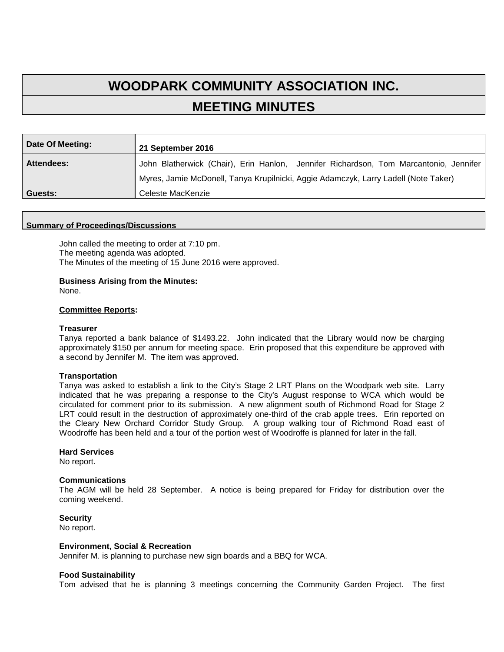# **WOODPARK COMMUNITY ASSOCIATION INC. MEETING MINUTES**

| Date Of Meeting: | 21 September 2016                                                                     |
|------------------|---------------------------------------------------------------------------------------|
| Attendees:       | John Blatherwick (Chair), Erin Hanlon, Jennifer Richardson, Tom Marcantonio, Jennifer |
|                  | Myres, Jamie McDonell, Tanya Krupilnicki, Aggie Adamczyk, Larry Ladell (Note Taker)   |
| Guests:          | Celeste MacKenzie                                                                     |

#### **Summary of Proceedings/Discussions**

John called the meeting to order at 7:10 pm. The meeting agenda was adopted. The Minutes of the meeting of 15 June 2016 were approved.

## **Business Arising from the Minutes:**

None.

### **Committee Reports:**

#### **Treasurer**

Tanya reported a bank balance of \$1493.22. John indicated that the Library would now be charging approximately \$150 per annum for meeting space. Erin proposed that this expenditure be approved with a second by Jennifer M. The item was approved.

#### **Transportation**

Tanya was asked to establish a link to the City's Stage 2 LRT Plans on the Woodpark web site. Larry indicated that he was preparing a response to the City's August response to WCA which would be circulated for comment prior to its submission. A new alignment south of Richmond Road for Stage 2 LRT could result in the destruction of approximately one-third of the crab apple trees. Erin reported on the Cleary New Orchard Corridor Study Group. A group walking tour of Richmond Road east of Woodroffe has been held and a tour of the portion west of Woodroffe is planned for later in the fall.

#### **Hard Services**

No report.

#### **Communications**

The AGM will be held 28 September. A notice is being prepared for Friday for distribution over the coming weekend.

#### **Security**

No report.

### **Environment, Social & Recreation**

Jennifer M. is planning to purchase new sign boards and a BBQ for WCA.

#### **Food Sustainability**

Tom advised that he is planning 3 meetings concerning the Community Garden Project. The first